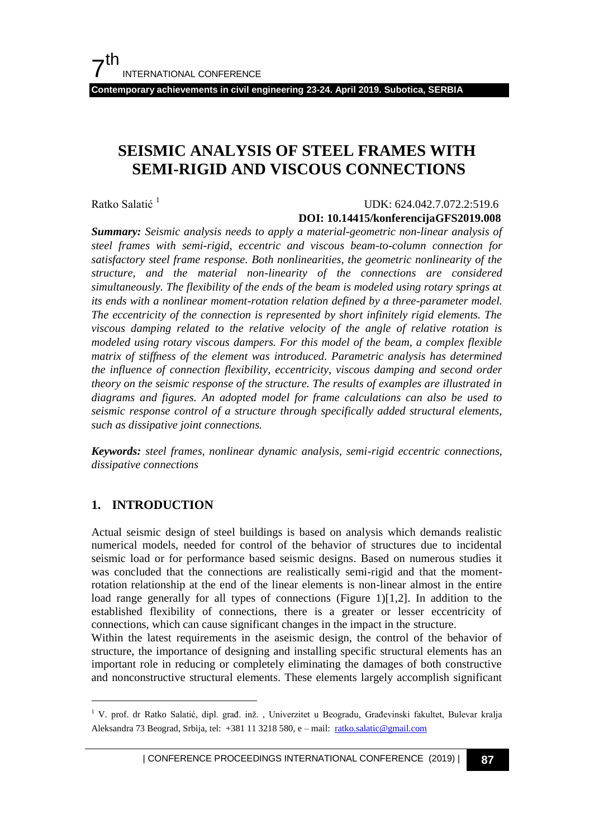**Contemporary achievements in civil engineering 23-24. April 2019. Subotica, SERBIA**

# **SEISMIC ANALYSIS OF STEEL FRAMES WITH SEMI-RIGID AND VISCOUS CONNECTIONS**

Ratko Salatić<sup>1</sup>

#### UDK: 624.042.7.072.2:519.6

#### **DOI: 10.14415/konferencijaGFS2019.008**

*Summary: Seismic analysis needs to apply a material-geometric non-linear analysis of steel frames with semi-rigid, eccentric and viscous beam-to-column connection for satisfactory steel frame response. Both nonlinearities, the geometric nonlinearity of the structure, and the material non-linearity of the connections are considered simultaneously. The flexibility of the ends of the beam is modeled using rotary springs at its ends with a nonlinear moment-rotation relation defined by a three-parameter model. The eccentricity of the connection is represented by short infinitely rigid elements. The viscous damping related to the relative velocity of the angle of relative rotation is modeled using rotary viscous dampers. For this model of the beam, a complex flexible matrix of stiffness of the element was introduced. Parametric analysis has determined the influence of connection flexibility, eccentricity, viscous damping and second order theory on the seismic response of the structure. The results of examples are illustrated in diagrams and figures. An adopted model for frame calculations can also be used to seismic response control of a structure through specifically added structural elements, such as dissipative joint connections.*

*Keywords: steel frames, nonlinear dynamic analysis, semi-rigid eccentric connections, dissipative connections* 

## **1. INTRODUCTION**

l

Actual seismic design of steel buildings is based on analysis which demands realistic numerical models, needed for control of the behavior of structures due to incidental seismic load or for performance based seismic designs. Based on numerous studies it was concluded that the connections are realistically semi-rigid and that the momentrotation relationship at the end of the linear elements is non-linear almost in the entire load range generally for all types of connections (Figure 1)[1,2]. In addition to the established flexibility of connections, there is a greater or lesser eccentricity of connections, which can cause significant changes in the impact in the structure.

Within the latest requirements in the aseismic design, the control of the behavior of structure, the importance of designing and installing specific structural elements has an important role in reducing or completely eliminating the damages of both constructive and nonconstructive structural elements. These elements largely accomplish significant

<sup>&</sup>lt;sup>1</sup> V. prof. dr Ratko Salatić, dipl. građ. inž., Univerzitet u Beogradu, Građevinski fakultet, Bulevar kralja Aleksandra 73 Beograd, Srbija, tel: +381 11 3218 580, e – mail: [ratko.salatic@gmail.com](mailto:ratko.salatic@gmail.com)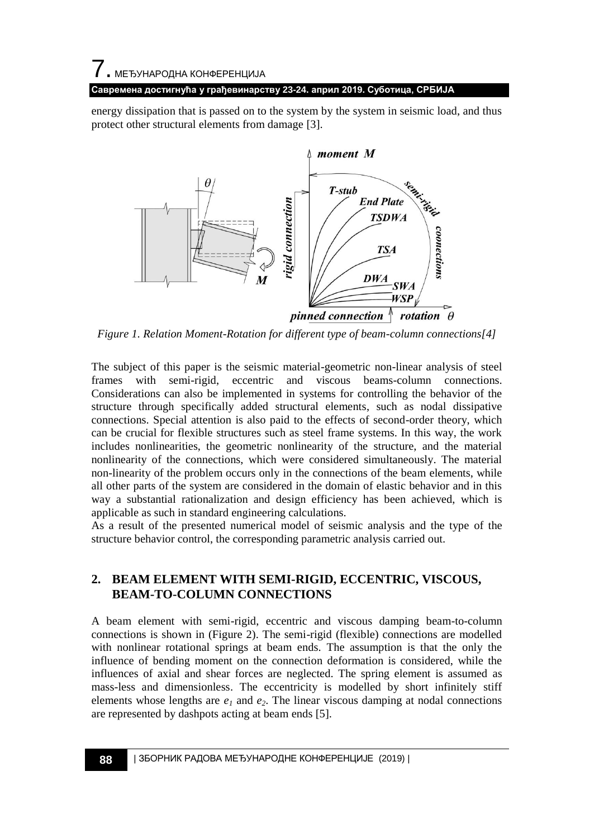## 7. МЕЂУНАРОДНА КОНФЕРЕНЦИЈА

#### **Савремена достигнућа у грађевинарству 23-24. април 2019. Суботица, СРБИЈА**

energy dissipation that is passed on to the system by the system in seismic load, and thus protect other structural elements from damage [3].



*Figure 1. Relation Moment-Rotation for different type of beam-column connections[4]*

The subject of this paper is the seismic material-geometric non-linear analysis of steel frames with semi-rigid, eccentric and viscous beams-column connections. Considerations can also be implemented in systems for controlling the behavior of the structure through specifically added structural elements, such as nodal dissipative connections. Special attention is also paid to the effects of second-order theory, which can be crucial for flexible structures such as steel frame systems. In this way, the work includes nonlinearities, the geometric nonlinearity of the structure, and the material nonlinearity of the connections, which were considered simultaneously. The material non-linearity of the problem occurs only in the connections of the beam elements, while all other parts of the system are considered in the domain of elastic behavior and in this way a substantial rationalization and design efficiency has been achieved, which is applicable as such in standard engineering calculations.

As a result of the presented numerical model of seismic analysis and the type of the structure behavior control, the corresponding parametric analysis carried out.

## **2. BEAM ELEMENT WITH SEMI-RIGID, ECCENTRIC, VISCOUS, BEAM-TO-COLUMN CONNECTIONS**

A beam element with semi-rigid, eccentric and viscous damping beam-to-column connections is shown in (Figure 2). The semi-rigid (flexible) connections are modelled with nonlinear rotational springs at beam ends. The assumption is that the only the influence of bending moment on the connection deformation is considered, while the influences of axial and shear forces are neglected. The spring element is assumed as mass-less and dimensionless. The eccentricity is modelled by short infinitely stiff elements whose lengths are  $e_1$  and  $e_2$ . The linear viscous damping at nodal connections are represented by dashpots acting at beam ends [5].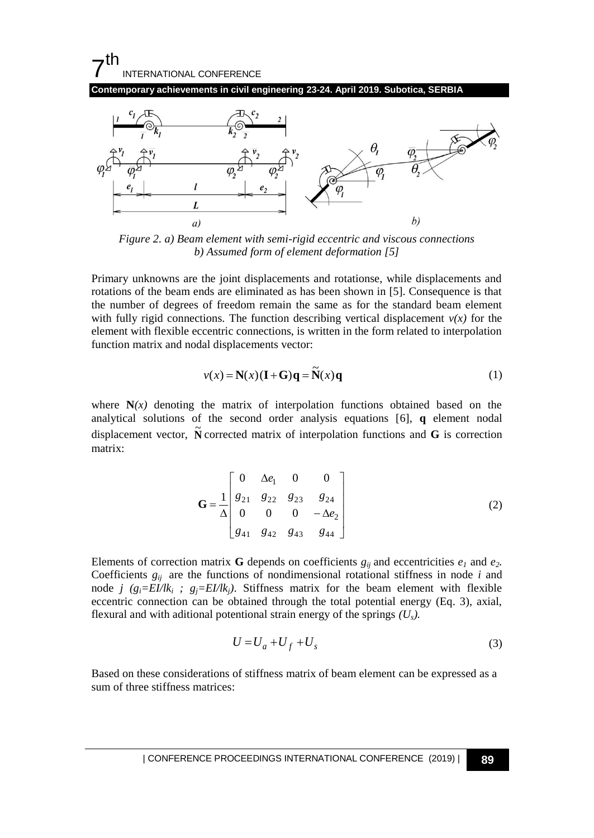#### 7 th INTERNATIONAL CONFERENCE

**Contemporary achievements in civil engineering 23-24. April 2019. Subotica, SERBIA**



*Figure 2. a) Beam element with semi-rigid eccentric and viscous connections b) Assumed form of element deformation [5]*

Primary unknowns are the joint displacements and rotationse, while displacements and rotations of the beam ends are eliminated as has been shown in [5]. Consequence is that the number of degrees of freedom remain the same as for the standard beam element with fully rigid connections. The function describing vertical displacement  $v(x)$  for the element with flexible eccentric connections, is written in the form related to interpolation function matrix and nodal displacements vector:

$$
v(x) = \mathbf{N}(x)(\mathbf{I} + \mathbf{G})\mathbf{q} = \widetilde{\mathbf{N}}(x)\mathbf{q}
$$
 (1)

where  $N(x)$  denoting the matrix of interpolation functions obtained based on the analytical solutions of the second order analysis equations [6], **q** element nodal displacement vector,  $\tilde{N}$  corrected matrix of interpolation functions and **G** is correction matrix:

$$
\mathbf{G} = \frac{1}{\Delta} \begin{bmatrix} 0 & \Delta e_1 & 0 & 0 \\ g_{21} & g_{22} & g_{23} & g_{24} \\ 0 & 0 & 0 & -\Delta e_2 \\ g_{41} & g_{42} & g_{43} & g_{44} \end{bmatrix}
$$
(2)

Elements of correction matrix **G** depends on coefficients  $g_{ij}$  and eccentricities  $e_l$  and  $e_2$ . Coefficients  $g_{ii}$  are the functions of nondimensional rotational stiffness in node *i* and node *j*  $(g_i=EL/lk_i; g_j=EL/lk_i)$ . Stiffness matrix for the beam element with flexible eccentric connection can be obtained through the total potential energy (Eq. 3), axial, flexural and with aditional potentional strain energy of the springs *(Us).*

$$
U = U_a + U_f + U_s \tag{3}
$$

Based on these considerations of stiffness matrix of beam element can be expressed as a sum of three stiffness matrices: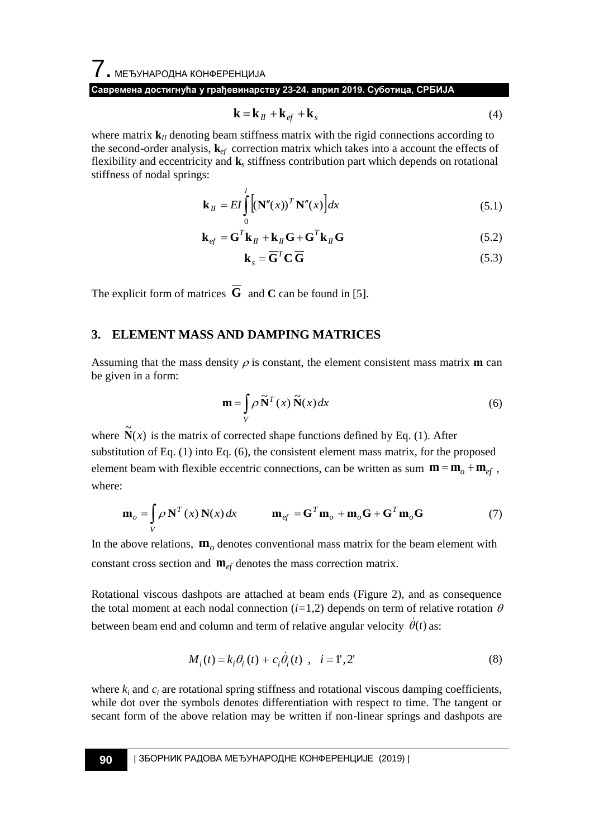## 7. МЕЂУНАРОДНА КОНФЕРЕНЦИЈА

**Савремена достигнућа у грађевинарству 23-24. април 2019. Суботица, СРБИЈА**

$$
\mathbf{k} = \mathbf{k}_{II} + \mathbf{k}_{ef} + \mathbf{k}_{s}
$$
 (4)

where matrix  $\mathbf{k}_I$  denoting beam stiffness matrix with the rigid connections according to the second-order analysis, **k***ef* correction matrix which takes into a account the effects of flexibility and eccentricity and **k***<sup>s</sup>* stiffness contribution part which depends on rotational stiffness of nodal springs:

$$
\mathbf{k}_{H} = EI \int_{0}^{l} \left[ (\mathbf{N}''(x))^{T} \mathbf{N}''(x) \right] dx
$$
 (5.1)

$$
\mathbf{k}_{ef} = \mathbf{G}^T \mathbf{k}_H + \mathbf{k}_H \mathbf{G} + \mathbf{G}^T \mathbf{k}_H \mathbf{G}
$$
 (5.2)

$$
\mathbf{k}_s = \overline{\mathbf{G}}^T \mathbf{C} \overline{\mathbf{G}} \tag{5.3}
$$

The explicit form of matrices  $\bf{G}$  and  $\bf{C}$  can be found in [5].

## **3. ELEMENT MASS AND DAMPING MATRICES**

Assuming that the mass density  $\rho$  is constant, the element consistent mass matrix **m** can be given in a form:

$$
\mathbf{m} = \int_{V} \rho \, \widetilde{\mathbf{N}}^{T}(x) \, \widetilde{\mathbf{N}}(x) dx \tag{6}
$$

where  $\tilde{N}(x)$  is the matrix of corrected shape functions defined by Eq. (1). After substitution of Eq. (1) into Eq. (6), the consistent element mass matrix, for the proposed element beam with flexible eccentric connections, can be written as sum  $\mathbf{m} = \mathbf{m}_o + \mathbf{m}_{ef}$ , where:

$$
\mathbf{m}_o = \int_V \rho \mathbf{N}^T(x) \mathbf{N}(x) dx \qquad \mathbf{m}_{ef} = \mathbf{G}^T \mathbf{m}_o + \mathbf{m}_o \mathbf{G} + \mathbf{G}^T \mathbf{m}_o \mathbf{G} \tag{7}
$$

In the above relations,  $\mathbf{m}_o$  denotes conventional mass matrix for the beam element with constant cross section and  $\mathbf{m}_{ef}$  denotes the mass correction matrix.

Rotational viscous dashpots are attached at beam ends (Figure 2), and as consequence the total moment at each nodal connection  $(i=1,2)$  depends on term of relative rotation  $\theta$ between beam end and column and term of relative angular velocity  $\dot{\theta}(t)$  as:

$$
M_i(t) = k_i \theta_i(t) + c_i \dot{\theta}_i(t) , \quad i = 1, 2'
$$
 (8)

where  $k_i$  and  $c_i$  are rotational spring stiffness and rotational viscous damping coefficients, while dot over the symbols denotes differentiation with respect to time. The tangent or secant form of the above relation may be written if non-linear springs and dashpots are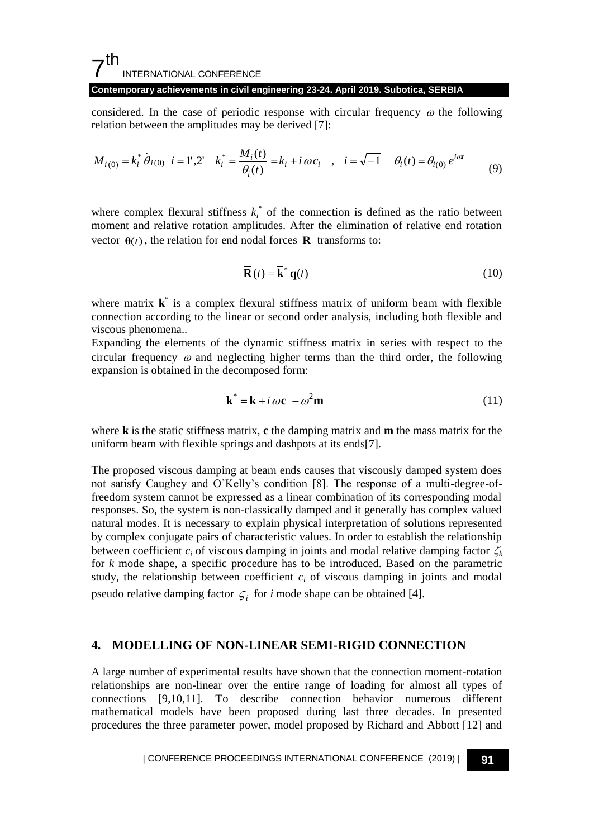#### 7 th INTERNATIONAL CONFERENCE

#### **Contemporary achievements in civil engineering 23-24. April 2019. Subotica, SERBIA**

considered. In the case of periodic response with circular frequency  $\omega$  the following relation between the amplitudes may be derived [7]:

$$
M_{i(0)} = k_i^* \dot{\theta}_{i(0)} \quad i = 1', 2' \quad k_i^* = \frac{M_i(t)}{\theta_i(t)} = k_i + i \omega c_i \quad , \quad i = \sqrt{-1} \quad \theta_i(t) = \theta_{i(0)} e^{i\omega t} \tag{9}
$$

where complex flexural stiffness  $k_i^*$  of the connection is defined as the ratio between moment and relative rotation amplitudes. After the elimination of relative end rotation vector  $\mathbf{\theta}(t)$ , the relation for end nodal forces  $\overline{\mathbf{R}}$  transforms to:

$$
\overline{\mathbf{R}}(t) = \overline{\mathbf{k}}^* \overline{\mathbf{q}}(t) \tag{10}
$$

where matrix **k**<sup>\*</sup> is a complex flexural stiffness matrix of uniform beam with flexible connection according to the linear or second order analysis, including both flexible and viscous phenomena..

Expanding the elements of the dynamic stiffness matrix in series with respect to the circular frequency  $\omega$  and neglecting higher terms than the third order, the following expansion is obtained in the decomposed form:

$$
\mathbf{k}^* = \mathbf{k} + i \omega \mathbf{c} - \omega^2 \mathbf{m} \tag{11}
$$

where **k** is the static stiffness matrix, **c** the damping matrix and **m** the mass matrix for the uniform beam with flexible springs and dashpots at its ends[7].

The proposed viscous damping at beam ends causes that viscously damped system does not satisfy Caughey and O"Kelly"s condition [8]. The response of a multi-degree-offreedom system cannot be expressed as a linear combination of its corresponding modal responses. So, the system is non-classically damped and it generally has complex valued natural modes. It is necessary to explain physical interpretation of solutions represented by complex conjugate pairs of characteristic values. In order to establish the relationship between coefficient  $c_i$  of viscous damping in joints and modal relative damping factor  $\zeta_k$ for *k* mode shape, a specific procedure has to be introduced. Based on the parametric study, the relationship between coefficient  $c_i$  of viscous damping in joints and modal pseudo relative damping factor  $\overline{\zeta}_i$  for *i* mode shape can be obtained [4].

## **4. MODELLING OF NON-LINEAR SEMI-RIGID CONNECTION**

A large number of experimental results have shown that the connection moment-rotation relationships are non-linear over the entire range of loading for almost all types of connections [9,10,11]. To describe connection behavior numerous different mathematical models have been proposed during last three decades. In presented procedures the three parameter power, model proposed by Richard and Abbott [12] and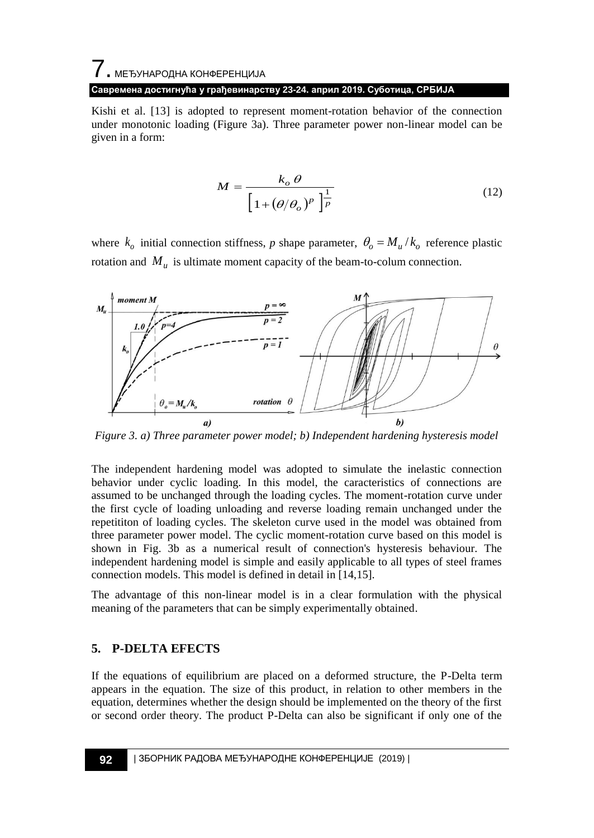# 7. МЕЂУНАРОДНА КОНФЕРЕНЦИЈА **Савремена достигнућа у грађевинарству 23-24. април 2019. Суботица, СРБИЈА**

Kishi et al. [13] is adopted to represent moment-rotation behavior of the connection under monotonic loading (Figure 3a). Three parameter power non-linear model can be given in a form:

$$
M = \frac{k_o \theta}{\left[1 + (\theta/\theta_o)^p\right]^{\frac{1}{p}}}
$$
(12)

where  $k_o$  initial connection stiffness, *p* shape parameter,  $\theta_o = M_u / k_o$  reference plastic rotation and  $M_u$  is ultimate moment capacity of the beam-to-colum connection.



*Figure 3. a) Three parameter power model; b) Independent hardening hysteresis model*

The independent hardening model was adopted to simulate the inelastic connection behavior under cyclic loading. In this model, the caracteristics of connections are assumed to be unchanged through the loading cycles. The moment-rotation curve under the first cycle of loading unloading and reverse loading remain unchanged under the repetititon of loading cycles. The skeleton curve used in the model was obtained from three parameter power model. The cyclic moment-rotation curve based on this model is shown in Fig. 3b as a numerical result of connection's hysteresis behaviour. The independent hardening model is simple and easily applicable to all types of steel frames connection models. This model is defined in detail in [14,15].

The advantage of this non-linear model is in a clear formulation with the physical meaning of the parameters that can be simply experimentally obtained.

## **5. P-DELTA EFECTS**

If the equations of equilibrium are placed on a deformed structure, the P-Delta term appears in the equation. The size of this product, in relation to other members in the equation, determines whether the design should be implemented on the theory of the first or second order theory. The product P-Delta can also be significant if only one of the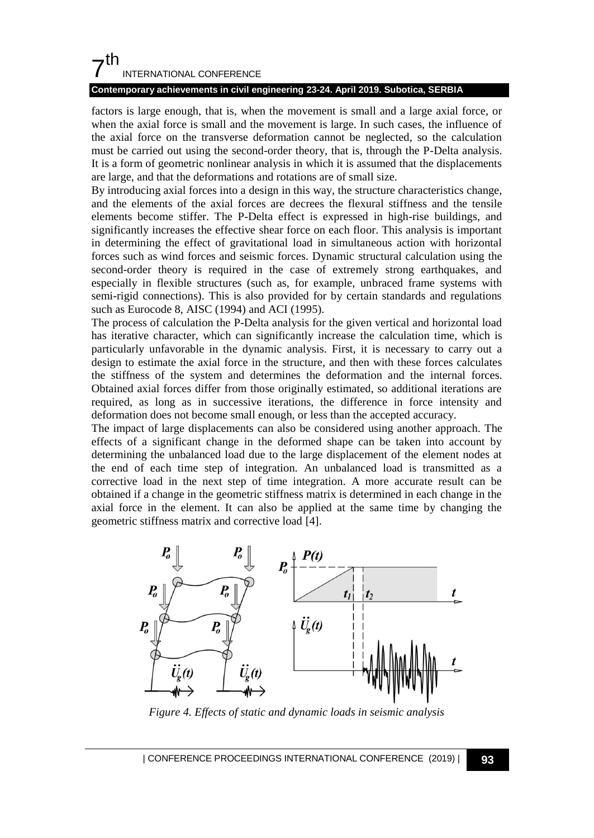## $7<sup>th</sup>$ INTERNATIONAL CONFERENCE

#### **Contemporary achievements in civil engineering 23-24. April 2019. Subotica, SERBIA**

factors is large enough, that is, when the movement is small and a large axial force, or when the axial force is small and the movement is large. In such cases, the influence of the axial force on the transverse deformation cannot be neglected, so the calculation must be carried out using the second-order theory, that is, through the P-Delta analysis. It is a form of geometric nonlinear analysis in which it is assumed that the displacements are large, and that the deformations and rotations are of small size.

By introducing axial forces into a design in this way, the structure characteristics change, and the elements of the axial forces are decrees the flexural stiffness and the tensile elements become stiffer. The P-Delta effect is expressed in high-rise buildings, and significantly increases the effective shear force on each floor. This analysis is important in determining the effect of gravitational load in simultaneous action with horizontal forces such as wind forces and seismic forces. Dynamic structural calculation using the second-order theory is required in the case of extremely strong earthquakes, and especially in flexible structures (such as, for example, unbraced frame systems with semi-rigid connections). This is also provided for by certain standards and regulations such as Eurocode 8, AISC (1994) and ACI (1995).

The process of calculation the P-Delta analysis for the given vertical and horizontal load has iterative character, which can significantly increase the calculation time, which is particularly unfavorable in the dynamic analysis. First, it is necessary to carry out a design to estimate the axial force in the structure, and then with these forces calculates the stiffness of the system and determines the deformation and the internal forces. Obtained axial forces differ from those originally estimated, so additional iterations are required, as long as in successive iterations, the difference in force intensity and deformation does not become small enough, or less than the accepted accuracy.

The impact of large displacements can also be considered using another approach. The effects of a significant change in the deformed shape can be taken into account by determining the unbalanced load due to the large displacement of the element nodes at the end of each time step of integration. An unbalanced load is transmitted as a corrective load in the next step of time integration. A more accurate result can be obtained if a change in the geometric stiffness matrix is determined in each change in the axial force in the element. It can also be applied at the same time by changing the geometric stiffness matrix and corrective load [4].



*Figure 4. Effects of static and dynamic loads in seismic analysis*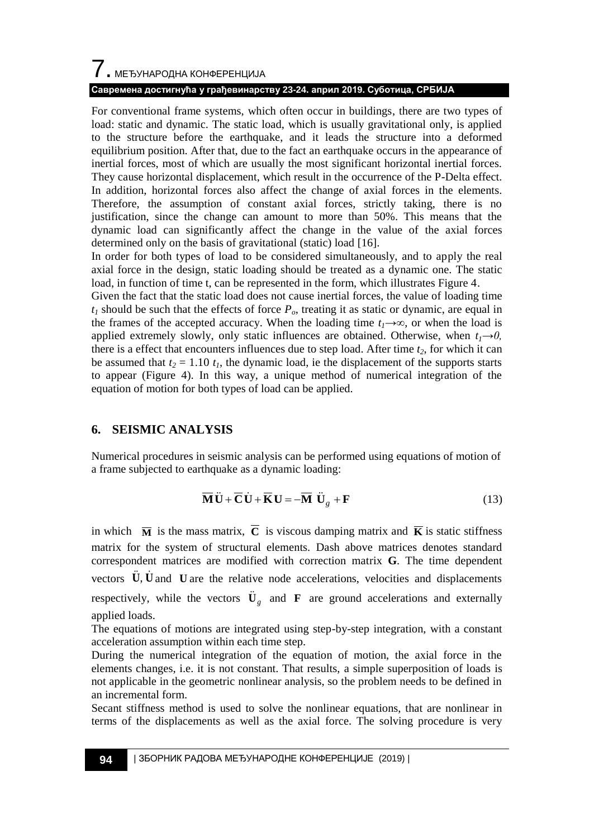# 7. МЕЂУНАРОДНА КОНФЕРЕНЦИЈА

## **Савремена достигнућа у грађевинарству 23-24. април 2019. Суботица, СРБИЈА**

For conventional frame systems, which often occur in buildings, there are two types of load: static and dynamic. The static load, which is usually gravitational only, is applied to the structure before the earthquake, and it leads the structure into a deformed equilibrium position. After that, due to the fact an earthquake occurs in the appearance of inertial forces, most of which are usually the most significant horizontal inertial forces. They cause horizontal displacement, which result in the occurrence of the P-Delta effect. In addition, horizontal forces also affect the change of axial forces in the elements. Therefore, the assumption of constant axial forces, strictly taking, there is no justification, since the change can amount to more than 50%. This means that the dynamic load can significantly affect the change in the value of the axial forces determined only on the basis of gravitational (static) load [16].

In order for both types of load to be considered simultaneously, and to apply the real axial force in the design, static loading should be treated as a dynamic one. The static load, in function of time t, can be represented in the form, which illustrates Figure 4.

Given the fact that the static load does not cause inertial forces, the value of loading time  $t_1$  should be such that the effects of force  $P_o$ , treating it as static or dynamic, are equal in the frames of the accepted accuracy. When the loading time  $t_1 \rightarrow \infty$ , or when the load is applied extremely slowly, only static influences are obtained. Otherwise, when  $t_1 \rightarrow 0$ , there is a effect that encounters influences due to step load. After time *t2*, for which it can be assumed that  $t_2 = 1.10 t_1$ , the dynamic load, ie the displacement of the supports starts to appear (Figure 4). In this way, a unique method of numerical integration of the equation of motion for both types of load can be applied.

## **6. SEISMIC ANALYSIS**

Numerical procedures in seismic analysis can be performed using equations of motion of a frame subjected to earthquake as a dynamic loading:

$$
\overline{\mathbf{M}}\ddot{\mathbf{U}} + \overline{\mathbf{C}}\dot{\mathbf{U}} + \overline{\mathbf{K}}\mathbf{U} = -\overline{\mathbf{M}}\ddot{\mathbf{U}}_g + \mathbf{F}
$$
 (13)

in which  $\overline{M}$  is the mass matrix,  $\overline{C}$  is viscous damping matrix and  $\overline{K}$  is static stiffness matrix for the system of structural elements. Dash above matrices denotes standard correspondent matrices are modified with correction matrix **G**. The time dependent vectors  $\ddot{\mathbf{U}}$ ,  $\dot{\mathbf{U}}$  and  $\mathbf{U}$  are the relative node accelerations, velocities and displacements respectively, while the vectors  $\ddot{\mathbf{U}}_g$  and **F** are ground accelerations and externally applied loads.

The equations of motions are integrated using step-by-step integration, with a constant acceleration assumption within each time step.

During the numerical integration of the equation of motion, the axial force in the elements changes, i.e. it is not constant. That results, a simple superposition of loads is not applicable in the geometric nonlinear analysis, so the problem needs to be defined in an incremental form.

Secant stiffness method is used to solve the nonlinear equations, that are nonlinear in terms of the displacements as well as the axial force. The solving procedure is very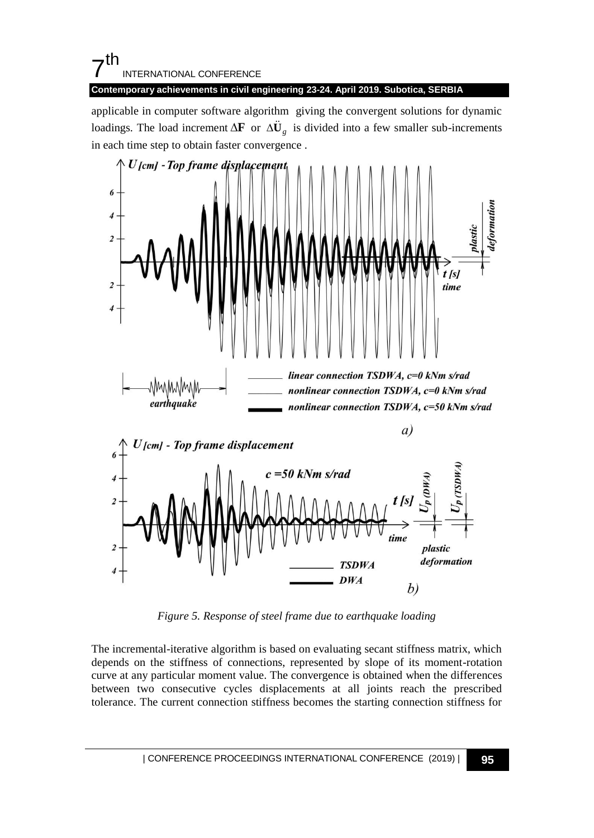## $7<sup>th</sup>$ INTERNATIONAL CONFERENCE

**Contemporary achievements in civil engineering 23-24. April 2019. Subotica, SERBIA**

applicable in computer software algorithm giving the convergent solutions for dynamic loadings. The load increment  $\Delta \mathbf{F}$  or  $\Delta \ddot{\mathbf{U}}_g$  is divided into a few smaller sub-increments in each time step to obtain faster convergence .



*Figure 5. Response of steel frame due to earthquake loading*

The incremental-iterative algorithm is based on evaluating secant stiffness matrix, which depends on the stiffness of connections, represented by slope of its moment-rotation curve at any particular moment value. The convergence is obtained when the differences between two consecutive cycles displacements at all joints reach the prescribed tolerance. The current connection stiffness becomes the starting connection stiffness for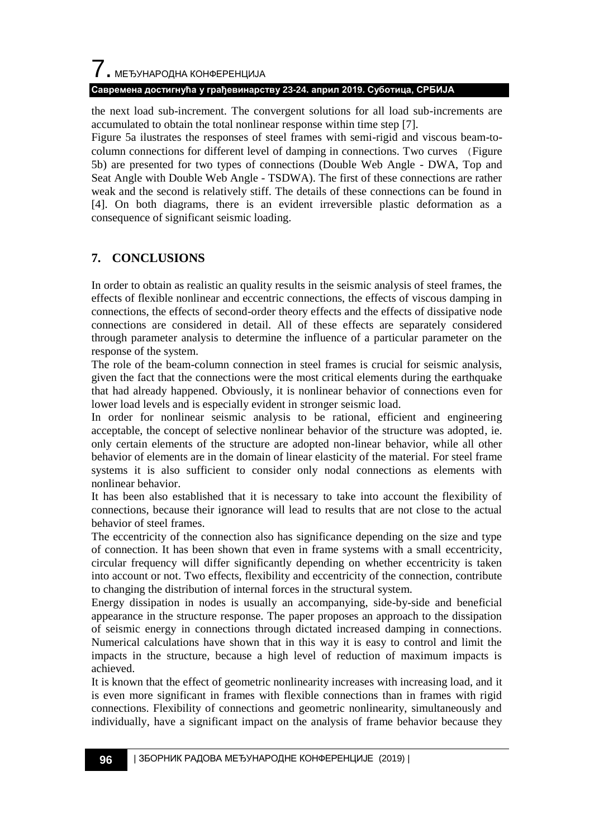# 7. МЕЂУНАРОДНА КОНФЕРЕНЦИЈА **Савремена достигнућа у грађевинарству 23-24. април 2019. Суботица, СРБИЈА**

the next load sub-increment. The convergent solutions for all load sub-increments are accumulated to obtain the total nonlinear response within time step [7].

Figure 5a ilustrates the responses of steel frames with semi-rigid and viscous beam-tocolumn connections for different level of damping in connections. Two curves (Figure 5b) are presented for two types of connections (Double Web Angle - DWA, Top and Seat Angle with Double Web Angle - TSDWA). The first of these connections are rather weak and the second is relatively stiff. The details of these connections can be found in [4]. On both diagrams, there is an evident irreversible plastic deformation as a consequence of significant seismic loading.

## **7. CONCLUSIONS**

In order to obtain as realistic an quality results in the seismic analysis of steel frames, the effects of flexible nonlinear and eccentric connections, the effects of viscous damping in connections, the effects of second-order theory effects and the effects of dissipative node connections are considered in detail. All of these effects are separately considered through parameter analysis to determine the influence of a particular parameter on the response of the system.

The role of the beam-column connection in steel frames is crucial for seismic analysis, given the fact that the connections were the most critical elements during the earthquake that had already happened. Obviously, it is nonlinear behavior of connections even for lower load levels and is especially evident in stronger seismic load.

In order for nonlinear seismic analysis to be rational, efficient and engineering acceptable, the concept of selective nonlinear behavior of the structure was adopted, ie. only certain elements of the structure are adopted non-linear behavior, while all other behavior of elements are in the domain of linear elasticity of the material. For steel frame systems it is also sufficient to consider only nodal connections as elements with nonlinear behavior.

It has been also established that it is necessary to take into account the flexibility of connections, because their ignorance will lead to results that are not close to the actual behavior of steel frames.

The eccentricity of the connection also has significance depending on the size and type of connection. It has been shown that even in frame systems with a small eccentricity, circular frequency will differ significantly depending on whether eccentricity is taken into account or not. Two effects, flexibility and eccentricity of the connection, contribute to changing the distribution of internal forces in the structural system.

Energy dissipation in nodes is usually an accompanying, side-by-side and beneficial appearance in the structure response. The paper proposes an approach to the dissipation of seismic energy in connections through dictated increased damping in connections. Numerical calculations have shown that in this way it is easy to control and limit the impacts in the structure, because a high level of reduction of maximum impacts is achieved.

It is known that the effect of geometric nonlinearity increases with increasing load, and it is even more significant in frames with flexible connections than in frames with rigid connections. Flexibility of connections and geometric nonlinearity, simultaneously and individually, have a significant impact on the analysis of frame behavior because they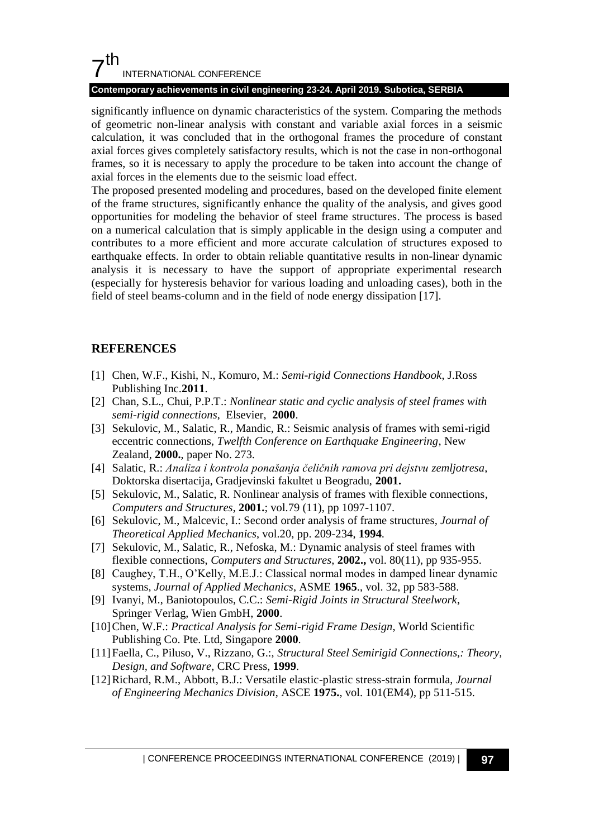## $7<sup>th</sup>$ INTERNATIONAL CONFERENCE

## **Contemporary achievements in civil engineering 23-24. April 2019. Subotica, SERBIA**

significantly influence on dynamic characteristics of the system. Comparing the methods of geometric non-linear analysis with constant and variable axial forces in a seismic calculation, it was concluded that in the orthogonal frames the procedure of constant axial forces gives completely satisfactory results, which is not the case in non-orthogonal frames, so it is necessary to apply the procedure to be taken into account the change of axial forces in the elements due to the seismic load effect.

The proposed presented modeling and procedures, based on the developed finite element of the frame structures, significantly enhance the quality of the analysis, and gives good opportunities for modeling the behavior of steel frame structures. The process is based on a numerical calculation that is simply applicable in the design using a computer and contributes to a more efficient and more accurate calculation of structures exposed to earthquake effects. In order to obtain reliable quantitative results in non-linear dynamic analysis it is necessary to have the support of appropriate experimental research (especially for hysteresis behavior for various loading and unloading cases), both in the field of steel beams-column and in the field of node energy dissipation [17].

## **REFERENCES**

- [1] Chen, W.F., Kishi, N., Komuro, M.: *Semi-rigid Connections Handbook*, J.Ross Publishing Inc.**2011**.
- [2] Chan, S.L., Chui, P.P.T.: *Nonlinear static and cyclic analysis of steel frames with semi-rigid connections*, Elsevier, **2000**.
- [3] Sekulovic, M., Salatic, R., Mandic, R.: Seismic analysis of frames with semi-rigid eccentric connections, *Twelfth Conference on Earthquake Engineering*, New Zealand, **2000.**, paper No. 273.
- [4] Salatic, R.: *Analiza i kontrola ponašanja čeličnih ramova pri dejstvu zemljotresa*, Doktorska disertacija, Gradjevinski fakultet u Beogradu, **2001.**
- [5] Sekulovic, M., Salatic, R. Nonlinear analysis of frames with flexible connections, *Computers and Structures*, **2001.**; vol.79 (11), pp 1097-1107.
- [6] Sekulovic, M., Malcevic, I.: Second order analysis of frame structures*, [Journal of](http://scholar.google.com/scholar?q=journal+of+theoretical+applied+mechanics&hl=sr&as_sdt=0&as_vis=1&oi=scholart)  [Theoretical Applied Mechanics](http://scholar.google.com/scholar?q=journal+of+theoretical+applied+mechanics&hl=sr&as_sdt=0&as_vis=1&oi=scholart)*, vol.20, pp. 209-234, **1994**.
- [7] Sekulovic, M., Salatic, R., Nefoska, M.: Dynamic analysis of steel frames with flexible connections, *Computers and Structures*, **2002.,** vol. 80(11), pp 935-955.
- [8] Caughey, T.H., O"Kelly, M.E.J.: Classical normal modes in damped linear dynamic systems, *Journal of Applied Mechanics*, ASME **1965**., vol. 32, pp 583-588.
- [9] Ivanyi, M., Baniotopoulos, C.C.: *Semi-Rigid Joints in Structural Steelwork*, Springer Verlag, Wien GmbH, **2000**.
- [10]Chen, W.F.: *Practical Analysis for Semi-rigid Frame Design*, World Scientific Publishing Co. Pte. Ltd, Singapore **2000**.
- [11]Faella, C., Piluso, V., Rizzano, G.:, *Structural Steel Semirigid Connections,: Theory, Design, and Software,* CRC Press, **1999**.
- [12]Richard, R.M., Abbott, B.J.: Versatile elastic-plastic stress-strain formula, *Journal of Engineering Mechanics Division*, ASCE **1975.**, vol. 101(EM4), pp 511-515.